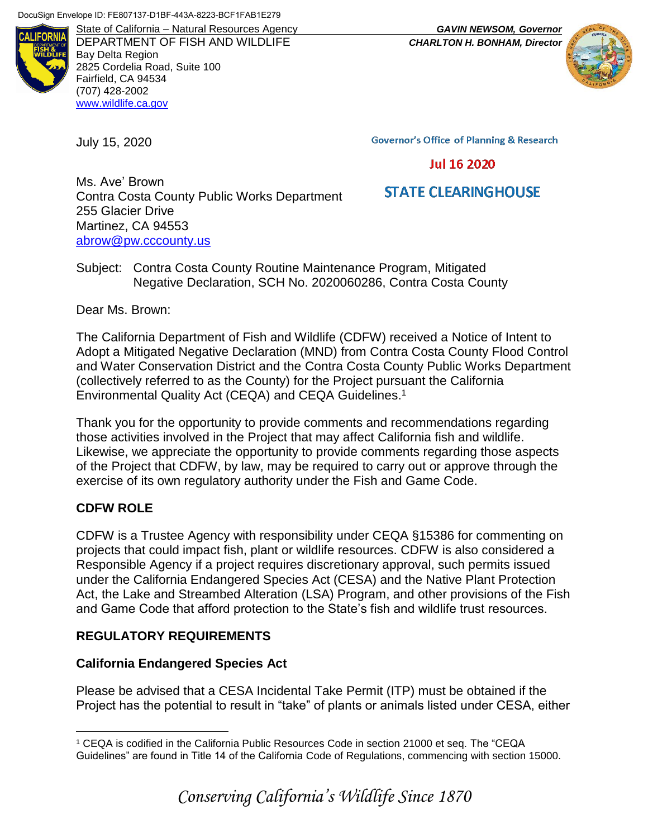

State of California – Natural Resources Agency *GAVIN NEWSOM, Governor* DEPARTMENT OF FISH AND WILDLIFE *CHARLTON H. BONHAM, Director* Bay Delta Region 2825 Cordelia Road, Suite 100 Fairfield, CA 94534 (707) 428-2002 [www.wildlife.ca.gov](http://www.wildlife.ca.gov/)

July 15, 2020

**Governor's Office of Planning & Research** 

#### **Jul 16 2020**

# **STATE CLEARINGHOUSE**

Ms. Ave' Brown Contra Costa County Public Works Department 255 Glacier Drive Martinez, CA 94553 [abrow@pw.cccounty.us](mailto:abrow@pw.cccounty.us)

Subject: Contra Costa County Routine Maintenance Program, Mitigated Negative Declaration, SCH No. 2020060286, Contra Costa County

Dear Ms. Brown:

The California Department of Fish and Wildlife (CDFW) received a Notice of Intent to Adopt a Mitigated Negative Declaration (MND) from Contra Costa County Flood Control and Water Conservation District and the Contra Costa County Public Works Department (collectively referred to as the County) for the Project pursuant the California Environmental Quality Act (CEQA) and CEQA Guidelines. 1

Thank you for the opportunity to provide comments and recommendations regarding those activities involved in the Project that may affect California fish and wildlife. Likewise, we appreciate the opportunity to provide comments regarding those aspects of the Project that CDFW, by law, may be required to carry out or approve through the exercise of its own regulatory authority under the Fish and Game Code.

# **CDFW ROLE**

 $\overline{a}$ 

CDFW is a Trustee Agency with responsibility under CEQA §15386 for commenting on projects that could impact fish, plant or wildlife resources. CDFW is also considered a Responsible Agency if a project requires discretionary approval, such permits issued under the California Endangered Species Act (CESA) and the Native Plant Protection Act, the Lake and Streambed Alteration (LSA) Program, and other provisions of the Fish and Game Code that afford protection to the State's fish and wildlife trust resources.

### **REGULATORY REQUIREMENTS**

### **California Endangered Species Act**

Please be advised that a CESA Incidental Take Permit (ITP) must be obtained if the Project has the potential to result in "take" of plants or animals listed under CESA, either

<sup>1</sup> CEQA is codified in the California Public Resources Code in section 21000 et seq. The "CEQA Guidelines" are found in Title 14 of the California Code of Regulations, commencing with section 15000.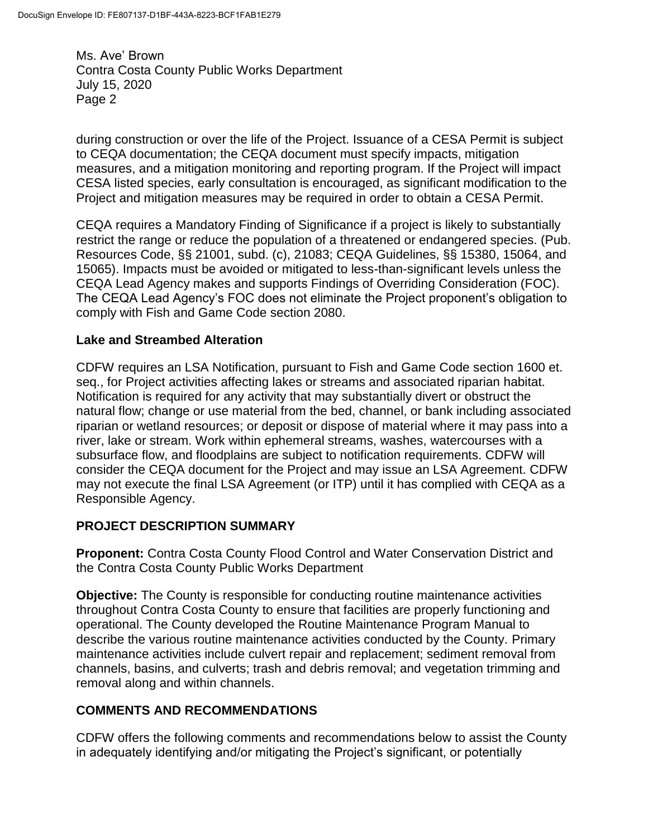during construction or over the life of the Project. Issuance of a CESA Permit is subject to CEQA documentation; the CEQA document must specify impacts, mitigation measures, and a mitigation monitoring and reporting program. If the Project will impact CESA listed species, early consultation is encouraged, as significant modification to the Project and mitigation measures may be required in order to obtain a CESA Permit.

CEQA requires a Mandatory Finding of Significance if a project is likely to substantially restrict the range or reduce the population of a threatened or endangered species. (Pub. Resources Code, §§ 21001, subd. (c), 21083; CEQA Guidelines, §§ 15380, 15064, and 15065). Impacts must be avoided or mitigated to less-than-significant levels unless the CEQA Lead Agency makes and supports Findings of Overriding Consideration (FOC). The CEQA Lead Agency's FOC does not eliminate the Project proponent's obligation to comply with Fish and Game Code section 2080.

### **Lake and Streambed Alteration**

CDFW requires an LSA Notification, pursuant to Fish and Game Code section 1600 et. seq., for Project activities affecting lakes or streams and associated riparian habitat. Notification is required for any activity that may substantially divert or obstruct the natural flow; change or use material from the bed, channel, or bank including associated riparian or wetland resources; or deposit or dispose of material where it may pass into a river, lake or stream. Work within ephemeral streams, washes, watercourses with a subsurface flow, and floodplains are subject to notification requirements. CDFW will consider the CEQA document for the Project and may issue an LSA Agreement. CDFW may not execute the final LSA Agreement (or ITP) until it has complied with CEQA as a Responsible Agency.

### **PROJECT DESCRIPTION SUMMARY**

**Proponent:** Contra Costa County Flood Control and Water Conservation District and the Contra Costa County Public Works Department

**Objective:** The County is responsible for conducting routine maintenance activities throughout Contra Costa County to ensure that facilities are properly functioning and operational. The County developed the Routine Maintenance Program Manual to describe the various routine maintenance activities conducted by the County. Primary maintenance activities include culvert repair and replacement; sediment removal from channels, basins, and culverts; trash and debris removal; and vegetation trimming and removal along and within channels.

# **COMMENTS AND RECOMMENDATIONS**

CDFW offers the following comments and recommendations below to assist the County in adequately identifying and/or mitigating the Project's significant, or potentially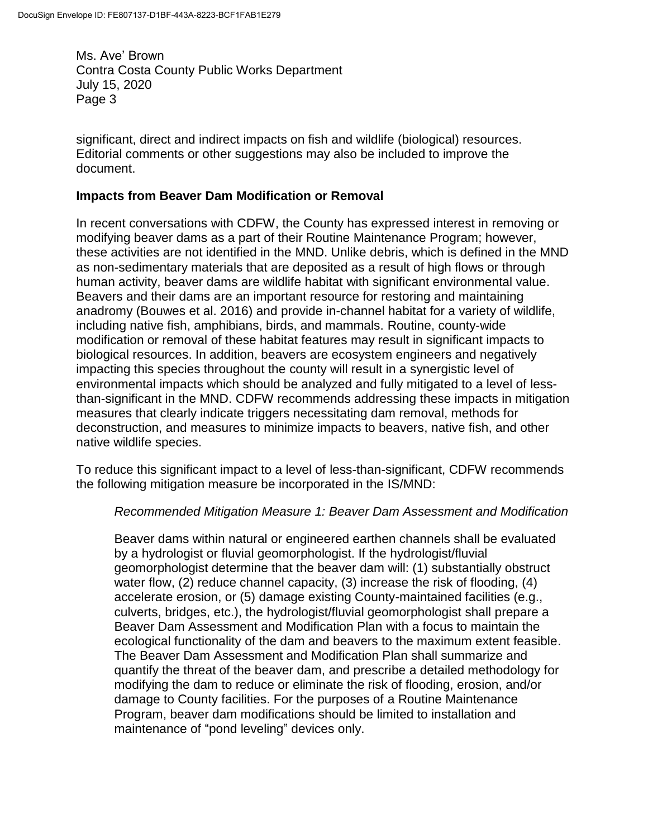significant, direct and indirect impacts on fish and wildlife (biological) resources. Editorial comments or other suggestions may also be included to improve the document.

#### **Impacts from Beaver Dam Modification or Removal**

In recent conversations with CDFW, the County has expressed interest in removing or modifying beaver dams as a part of their Routine Maintenance Program; however, these activities are not identified in the MND. Unlike debris, which is defined in the MND as non-sedimentary materials that are deposited as a result of high flows or through human activity, beaver dams are wildlife habitat with significant environmental value. Beavers and their dams are an important resource for restoring and maintaining anadromy (Bouwes et al. 2016) and provide in-channel habitat for a variety of wildlife, including native fish, amphibians, birds, and mammals. Routine, county-wide modification or removal of these habitat features may result in significant impacts to biological resources. In addition, beavers are ecosystem engineers and negatively impacting this species throughout the county will result in a synergistic level of environmental impacts which should be analyzed and fully mitigated to a level of lessthan-significant in the MND. CDFW recommends addressing these impacts in mitigation measures that clearly indicate triggers necessitating dam removal, methods for deconstruction, and measures to minimize impacts to beavers, native fish, and other native wildlife species.

To reduce this significant impact to a level of less-than-significant, CDFW recommends the following mitigation measure be incorporated in the IS/MND:

#### *Recommended Mitigation Measure 1: Beaver Dam Assessment and Modification*

Beaver dams within natural or engineered earthen channels shall be evaluated by a hydrologist or fluvial geomorphologist. If the hydrologist/fluvial geomorphologist determine that the beaver dam will: (1) substantially obstruct water flow, (2) reduce channel capacity, (3) increase the risk of flooding, (4) accelerate erosion, or (5) damage existing County-maintained facilities (e.g., culverts, bridges, etc.), the hydrologist/fluvial geomorphologist shall prepare a Beaver Dam Assessment and Modification Plan with a focus to maintain the ecological functionality of the dam and beavers to the maximum extent feasible. The Beaver Dam Assessment and Modification Plan shall summarize and quantify the threat of the beaver dam, and prescribe a detailed methodology for modifying the dam to reduce or eliminate the risk of flooding, erosion, and/or damage to County facilities. For the purposes of a Routine Maintenance Program, beaver dam modifications should be limited to installation and maintenance of "pond leveling" devices only.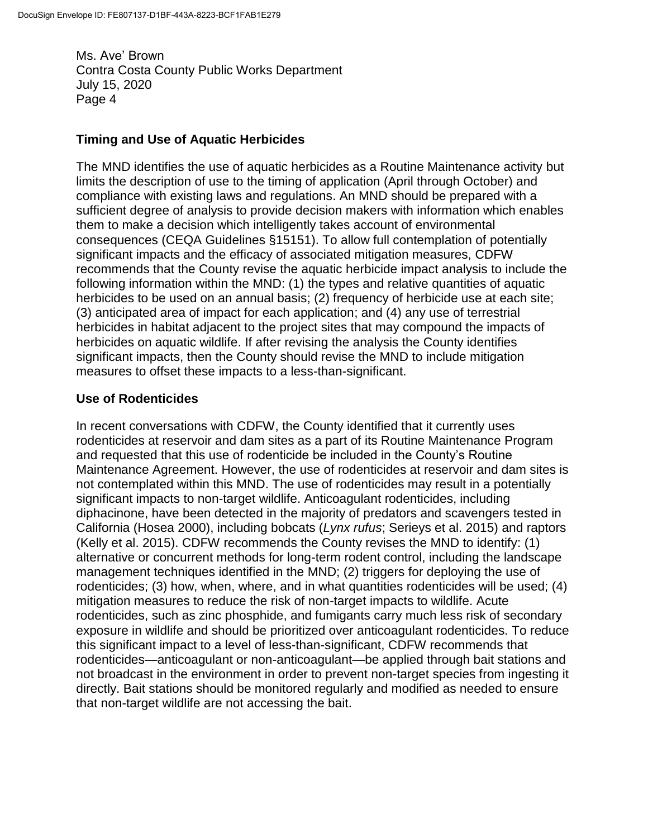## **Timing and Use of Aquatic Herbicides**

The MND identifies the use of aquatic herbicides as a Routine Maintenance activity but limits the description of use to the timing of application (April through October) and compliance with existing laws and regulations. An MND should be prepared with a sufficient degree of analysis to provide decision makers with information which enables them to make a decision which intelligently takes account of environmental consequences (CEQA Guidelines §15151). To allow full contemplation of potentially significant impacts and the efficacy of associated mitigation measures, CDFW recommends that the County revise the aquatic herbicide impact analysis to include the following information within the MND: (1) the types and relative quantities of aquatic herbicides to be used on an annual basis; (2) frequency of herbicide use at each site; (3) anticipated area of impact for each application; and (4) any use of terrestrial herbicides in habitat adjacent to the project sites that may compound the impacts of herbicides on aquatic wildlife. If after revising the analysis the County identifies significant impacts, then the County should revise the MND to include mitigation measures to offset these impacts to a less-than-significant.

### **Use of Rodenticides**

In recent conversations with CDFW, the County identified that it currently uses rodenticides at reservoir and dam sites as a part of its Routine Maintenance Program and requested that this use of rodenticide be included in the County's Routine Maintenance Agreement. However, the use of rodenticides at reservoir and dam sites is not contemplated within this MND. The use of rodenticides may result in a potentially significant impacts to non-target wildlife. Anticoagulant rodenticides, including diphacinone, have been detected in the majority of predators and scavengers tested in California (Hosea 2000), including bobcats (*Lynx rufus*; Serieys et al. 2015) and raptors (Kelly et al. 2015). CDFW recommends the County revises the MND to identify: (1) alternative or concurrent methods for long-term rodent control, including the landscape management techniques identified in the MND; (2) triggers for deploying the use of rodenticides; (3) how, when, where, and in what quantities rodenticides will be used; (4) mitigation measures to reduce the risk of non-target impacts to wildlife. Acute rodenticides, such as zinc phosphide, and fumigants carry much less risk of secondary exposure in wildlife and should be prioritized over anticoagulant rodenticides. To reduce this significant impact to a level of less-than-significant, CDFW recommends that rodenticides—anticoagulant or non-anticoagulant—be applied through bait stations and not broadcast in the environment in order to prevent non-target species from ingesting it directly. Bait stations should be monitored regularly and modified as needed to ensure that non-target wildlife are not accessing the bait.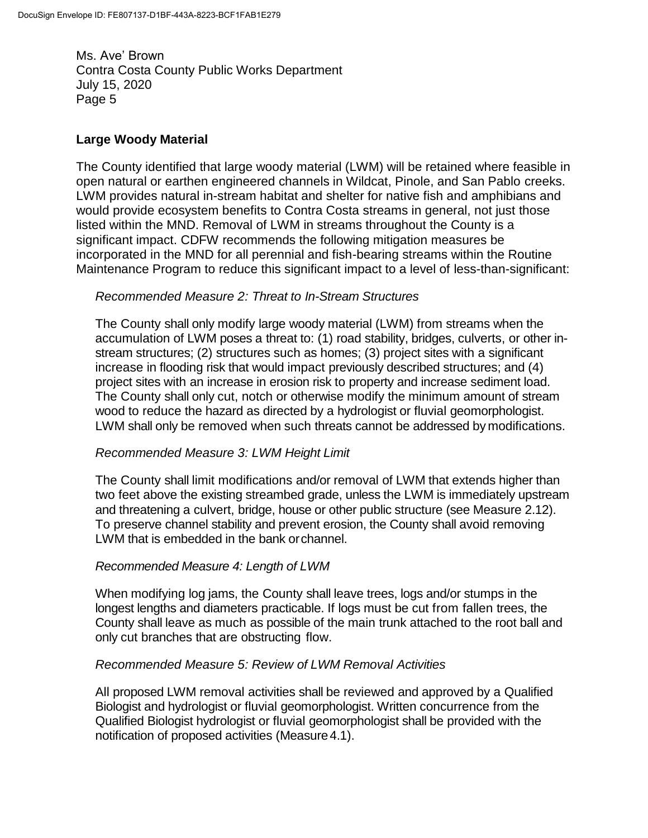### **Large Woody Material**

The County identified that large woody material (LWM) will be retained where feasible in open natural or earthen engineered channels in Wildcat, Pinole, and San Pablo creeks. LWM provides natural in-stream habitat and shelter for native fish and amphibians and would provide ecosystem benefits to Contra Costa streams in general, not just those listed within the MND. Removal of LWM in streams throughout the County is a significant impact. CDFW recommends the following mitigation measures be incorporated in the MND for all perennial and fish-bearing streams within the Routine Maintenance Program to reduce this significant impact to a level of less-than-significant:

### *Recommended Measure 2: Threat to In-Stream Structures*

The County shall only modify large woody material (LWM) from streams when the accumulation of LWM poses a threat to: (1) road stability, bridges, culverts, or other instream structures; (2) structures such as homes; (3) project sites with a significant increase in flooding risk that would impact previously described structures; and (4) project sites with an increase in erosion risk to property and increase sediment load. The County shall only cut, notch or otherwise modify the minimum amount of stream wood to reduce the hazard as directed by a hydrologist or fluvial geomorphologist. LWM shall only be removed when such threats cannot be addressed by modifications.

### *Recommended Measure 3: LWM Height Limit*

The County shall limit modifications and/or removal of LWM that extends higher than two feet above the existing streambed grade, unless the LWM is immediately upstream and threatening a culvert, bridge, house or other public structure (see Measure 2.12). To preserve channel stability and prevent erosion, the County shall avoid removing LWM that is embedded in the bank orchannel.

### *Recommended Measure 4: Length of LWM*

When modifying log jams, the County shall leave trees, logs and/or stumps in the longest lengths and diameters practicable. If logs must be cut from fallen trees, the County shall leave as much as possible of the main trunk attached to the root ball and only cut branches that are obstructing flow.

### *Recommended Measure 5: Review of LWM Removal Activities*

All proposed LWM removal activities shall be reviewed and approved by a Qualified Biologist and hydrologist or fluvial geomorphologist. Written concurrence from the Qualified Biologist hydrologist or fluvial geomorphologist shall be provided with the notification of proposed activities (Measure 4.1).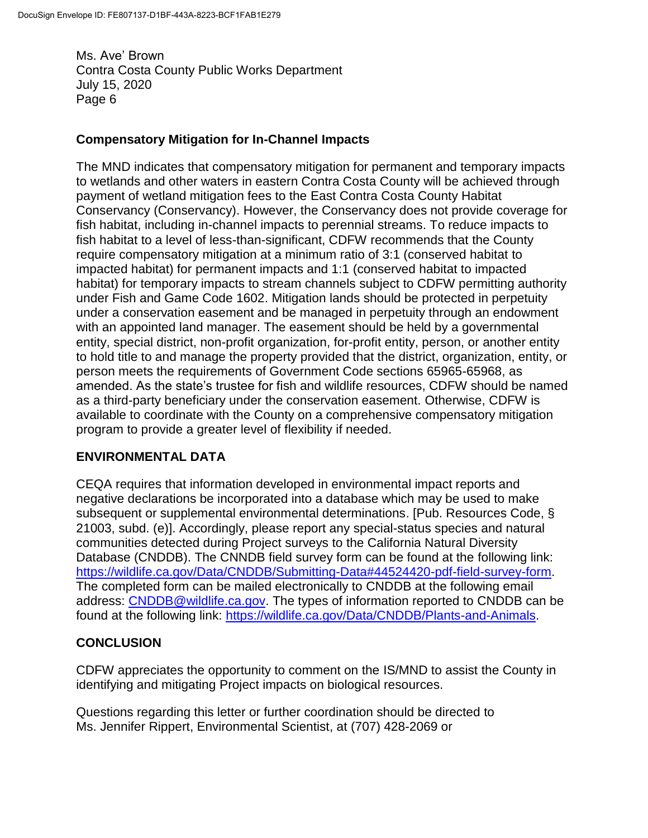### **Compensatory Mitigation for In-Channel Impacts**

The MND indicates that compensatory mitigation for permanent and temporary impacts to wetlands and other waters in eastern Contra Costa County will be achieved through payment of wetland mitigation fees to the East Contra Costa County Habitat Conservancy (Conservancy). However, the Conservancy does not provide coverage for fish habitat, including in-channel impacts to perennial streams. To reduce impacts to fish habitat to a level of less-than-significant, CDFW recommends that the County require compensatory mitigation at a minimum ratio of 3:1 (conserved habitat to impacted habitat) for permanent impacts and 1:1 (conserved habitat to impacted habitat) for temporary impacts to stream channels subject to CDFW permitting authority under Fish and Game Code 1602. Mitigation lands should be protected in perpetuity under a conservation easement and be managed in perpetuity through an endowment with an appointed land manager. The easement should be held by a governmental entity, special district, non-profit organization, for-profit entity, person, or another entity to hold title to and manage the property provided that the district, organization, entity, or person meets the requirements of Government Code sections 65965-65968, as amended. As the state's trustee for fish and wildlife resources, CDFW should be named as a third-party beneficiary under the conservation easement. Otherwise, CDFW is available to coordinate with the County on a comprehensive compensatory mitigation program to provide a greater level of flexibility if needed.

# **ENVIRONMENTAL DATA**

CEQA requires that information developed in environmental impact reports and negative declarations be incorporated into a database which may be used to make subsequent or supplemental environmental determinations. [Pub. Resources Code, § 21003, subd. (e)]. Accordingly, please report any special-status species and natural communities detected during Project surveys to the California Natural Diversity Database (CNDDB). The CNNDB field survey form can be found at the following link: [https://wildlife.ca.gov/Data/CNDDB/Submitting-Data#44524420-pdf-field-survey-form.](https://wildlife.ca.gov/Data/CNDDB/Submitting-Data#44524420-pdf-field-survey-form) The completed form can be mailed electronically to CNDDB at the following email address: [CNDDB@wildlife.ca.gov.](mailto:cnddb@dfg.ca.gov) The types of information reported to CNDDB can be found at the following link: [https://wildlife.ca.gov/Data/CNDDB/Plants-and-Animals.](https://wildlife.ca.gov/Data/CNDDB/Plants-and-Animals)

# **CONCLUSION**

CDFW appreciates the opportunity to comment on the IS/MND to assist the County in identifying and mitigating Project impacts on biological resources.

Questions regarding this letter or further coordination should be directed to Ms. Jennifer Rippert, Environmental Scientist, at (707) 428-2069 or